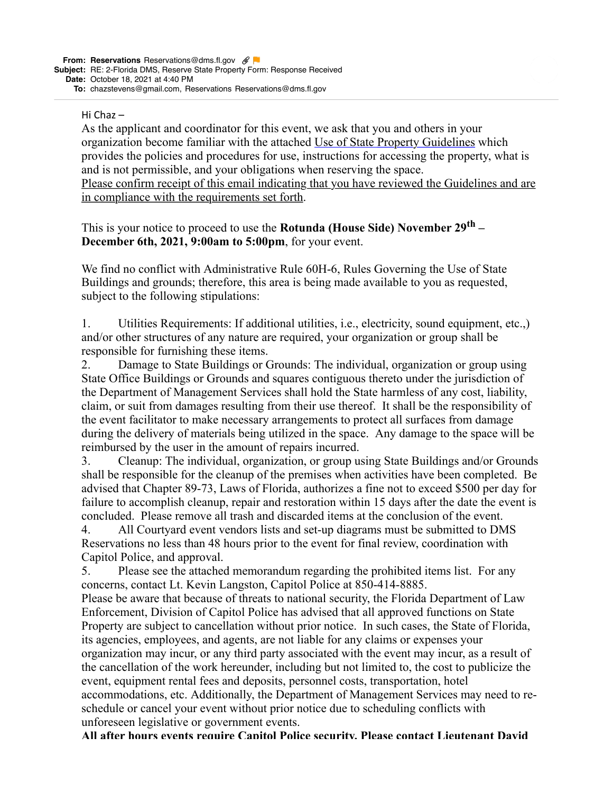## Hi Chaz $-$

As the applicant and coordinator for this event, we ask that you and others in your organization become familiar with the attached [Use of State Property Guidelines](http://www.dms.myflorida.com/media/facilities/forms_and_documents/surf/use_of_state_property_guidelines) which provides the policies and procedures for use, instructions for accessing the property, what is and is not permissible, and your obligations when reserving the space. Please confirm receipt of this email indicating that you have reviewed the Guidelines and are in compliance with the requirements set forth.

This is your notice to proceed to use the **Rotunda (House Side) November 29th – December 6th, 2021, 9:00am to 5:00pm**, for your event.

We find no conflict with Administrative Rule 60H-6, Rules Governing the Use of State Buildings and grounds; therefore, this area is being made available to you as requested, subject to the following stipulations:

1. Utilities Requirements: If additional utilities, i.e., electricity, sound equipment, etc.,) and/or other structures of any nature are required, your organization or group shall be responsible for furnishing these items.

2. Damage to State Buildings or Grounds: The individual, organization or group using State Office Buildings or Grounds and squares contiguous thereto under the jurisdiction of the Department of Management Services shall hold the State harmless of any cost, liability, claim, or suit from damages resulting from their use thereof. It shall be the responsibility of the event facilitator to make necessary arrangements to protect all surfaces from damage during the delivery of materials being utilized in the space. Any damage to the space will be reimbursed by the user in the amount of repairs incurred.

3. Cleanup: The individual, organization, or group using State Buildings and/or Grounds shall be responsible for the cleanup of the premises when activities have been completed. Be advised that Chapter 89-73, Laws of Florida, authorizes a fine not to exceed \$500 per day for failure to accomplish cleanup, repair and restoration within 15 days after the date the event is concluded. Please remove all trash and discarded items at the conclusion of the event.

4. All Courtyard event vendors lists and set-up diagrams must be submitted to DMS Reservations no less than 48 hours prior to the event for final review, coordination with Capitol Police, and approval.

5. Please see the attached memorandum regarding the prohibited items list. For any concerns, contact Lt. Kevin Langston, Capitol Police at 850-414-8885.

Please be aware that because of threats to national security, the Florida Department of Law Enforcement, Division of Capitol Police has advised that all approved functions on State Property are subject to cancellation without prior notice. In such cases, the State of Florida, its agencies, employees, and agents, are not liable for any claims or expenses your organization may incur, or any third party associated with the event may incur, as a result of the cancellation of the work hereunder, including but not limited to, the cost to publicize the event, equipment rental fees and deposits, personnel costs, transportation, hotel accommodations, etc. Additionally, the Department of Management Services may need to reschedule or cancel your event without prior notice due to scheduling conflicts with unforeseen legislative or government events.

**All after hours events require Capitol Police security. Please contact Lieutenant David**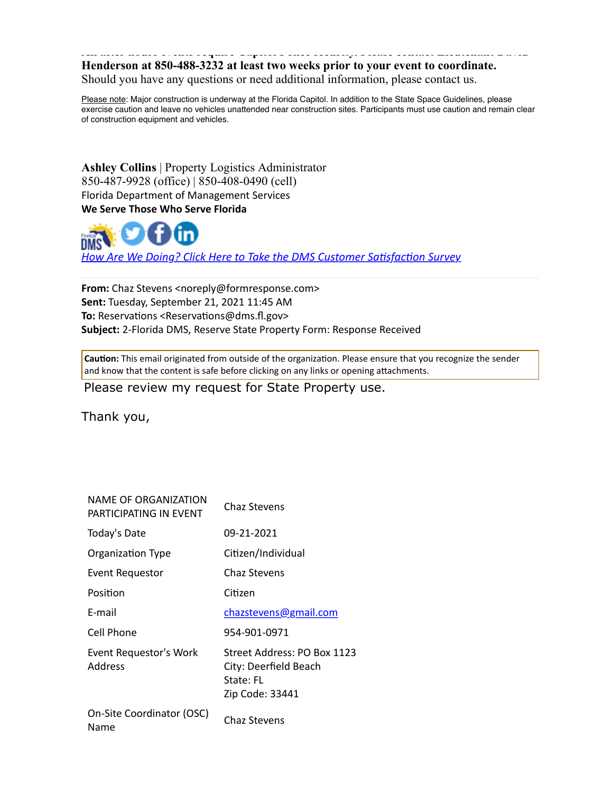## **All after hours events require Capitol Police security. Please contact Lieutenant David Henderson at 850-488-3232 at least two weeks prior to your event to coordinate.** Should you have any questions or need additional information, please contact us.

Please note: Major construction is underway at the Florida Capitol. In addition to the State Space Guidelines, please exercise caution and leave no vehicles unattended near construction sites. Participants must use caution and remain clear of construction equipment and vehicles.

**Ashley Collins** | Property Logistics Administrator 850-487-9928 (office) | 850-408-0490 (cell) Florida Department of Management Services We Serve Those Who Serve Florida



How Are We Doing? Click Here to Take the DMS Customer Satisfaction Survey

**From:** Chaz Stevens <noreply@formresponse.com> **Sent:** Tuesday, September 21, 2021 11:45 AM **To:** Reservations <Reservations@dms.fl.gov> Subject: 2-Florida DMS, Reserve State Property Form: Response Received

Caution: This email originated from outside of the organization. Please ensure that you recognize the sender and know that the content is safe before clicking on any links or opening attachments.

Please review my request for State Property use.

Thank you,

| NAME OF ORGANIZATION<br>PARTICIPATING IN FVFNT | Chaz Stevens                                                                         |
|------------------------------------------------|--------------------------------------------------------------------------------------|
| Today's Date                                   | 09-21-2021                                                                           |
| Organization Type                              | Citizen/Individual                                                                   |
| Event Requestor                                | Chaz Stevens                                                                         |
| Position                                       | Citizen                                                                              |
| E-mail                                         | chazstevens@gmail.com                                                                |
| Cell Phone                                     | 954-901-0971                                                                         |
| Event Requestor's Work<br><b>Address</b>       | Street Address: PO Box 1123<br>City: Deerfield Beach<br>State: FL<br>Zip Code: 33441 |
| On-Site Coordinator (OSC)<br>Name              | Chaz Stevens                                                                         |
|                                                |                                                                                      |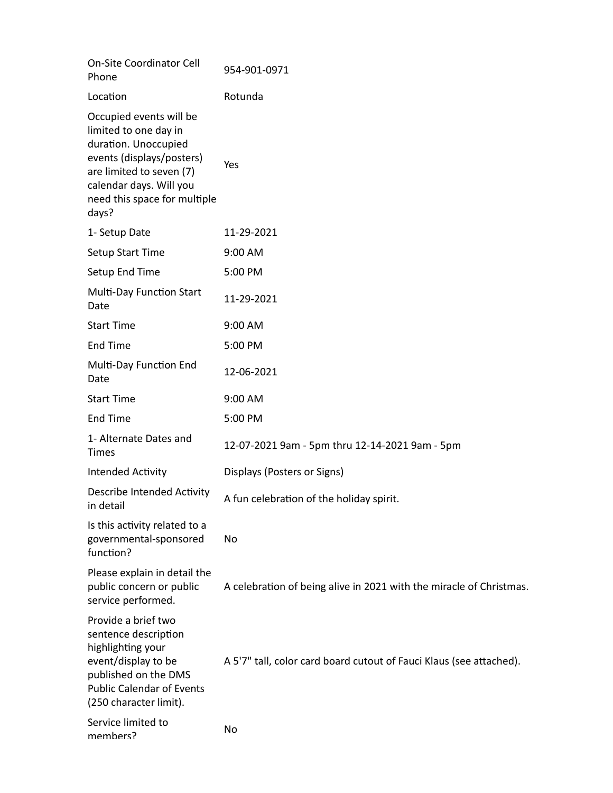| <b>On-Site Coordinator Cell</b><br>Phone                                                                                                                                                              | 954-901-0971                                                        |
|-------------------------------------------------------------------------------------------------------------------------------------------------------------------------------------------------------|---------------------------------------------------------------------|
| Location                                                                                                                                                                                              | Rotunda                                                             |
| Occupied events will be<br>limited to one day in<br>duration. Unoccupied<br>events (displays/posters)<br>are limited to seven (7)<br>calendar days. Will you<br>need this space for multiple<br>days? | Yes                                                                 |
| 1- Setup Date                                                                                                                                                                                         | 11-29-2021                                                          |
| <b>Setup Start Time</b>                                                                                                                                                                               | 9:00 AM                                                             |
| Setup End Time                                                                                                                                                                                        | 5:00 PM                                                             |
| <b>Multi-Day Function Start</b><br>Date                                                                                                                                                               | 11-29-2021                                                          |
| <b>Start Time</b>                                                                                                                                                                                     | 9:00 AM                                                             |
| <b>End Time</b>                                                                                                                                                                                       | 5:00 PM                                                             |
| Multi-Day Function End<br>Date                                                                                                                                                                        | 12-06-2021                                                          |
| <b>Start Time</b>                                                                                                                                                                                     | 9:00 AM                                                             |
| <b>End Time</b>                                                                                                                                                                                       | 5:00 PM                                                             |
| 1- Alternate Dates and<br><b>Times</b>                                                                                                                                                                | 12-07-2021 9am - 5pm thru 12-14-2021 9am - 5pm                      |
| Intended Activity                                                                                                                                                                                     | Displays (Posters or Signs)                                         |
| <b>Describe Intended Activity</b><br>in detail                                                                                                                                                        | A fun celebration of the holiday spirit.                            |
| Is this activity related to a<br>governmental-sponsored<br>function?                                                                                                                                  | No                                                                  |
| Please explain in detail the<br>public concern or public<br>service performed.                                                                                                                        | A celebration of being alive in 2021 with the miracle of Christmas. |
| Provide a brief two<br>sentence description<br>highlighting your<br>event/display to be<br>published on the DMS<br><b>Public Calendar of Events</b><br>(250 character limit).                         | A 5'7" tall, color card board cutout of Fauci Klaus (see attached). |
| Service limited to<br>members?                                                                                                                                                                        | No                                                                  |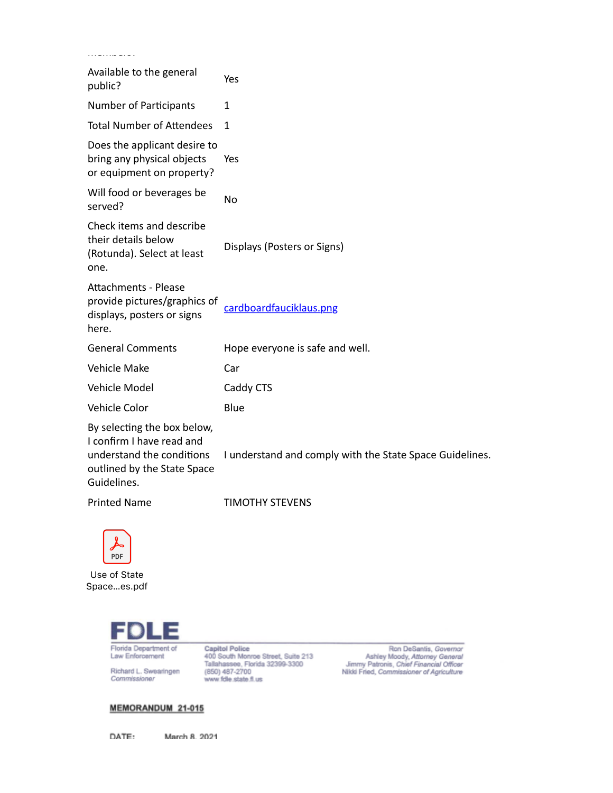| .                                                                                                                                   |                                                          |
|-------------------------------------------------------------------------------------------------------------------------------------|----------------------------------------------------------|
| Available to the general<br>public?                                                                                                 | Yes                                                      |
| <b>Number of Participants</b>                                                                                                       | 1                                                        |
| <b>Total Number of Attendees</b>                                                                                                    | 1                                                        |
| Does the applicant desire to<br>bring any physical objects<br>or equipment on property?                                             | Yes                                                      |
| Will food or beverages be<br>served?                                                                                                | No                                                       |
| Check items and describe<br>their details below<br>(Rotunda). Select at least<br>one.                                               | Displays (Posters or Signs)                              |
| <b>Attachments - Please</b><br>provide pictures/graphics of<br>displays, posters or signs<br>here.                                  | cardboardfauciklaus.png                                  |
| <b>General Comments</b>                                                                                                             | Hope everyone is safe and well.                          |
| <b>Vehicle Make</b>                                                                                                                 | Car                                                      |
| Vehicle Model                                                                                                                       | Caddy CTS                                                |
| Vehicle Color                                                                                                                       | Blue                                                     |
| By selecting the box below,<br>I confirm I have read and<br>understand the conditions<br>outlined by the State Space<br>Guidelines. | I understand and comply with the State Space Guidelines. |
| <b>Printed Name</b>                                                                                                                 | <b>TIMOTHY STEVENS</b>                                   |



Use of State Space...es.pdf



Richard L. Swearingen Commissioner

Capitol Police<br>400 South Monroe Street, Suite 213<br>Tallahassee, Florida 32399-3300<br>(850) 487-2700<br>www.fdle.state.fl.us

Ron DeSantis, Governor<br>Ashley Moody, Attorney General<br>Jimmy Patronis, Chief Financial Officer<br>Nikki Fried, Commissioner of Agriculture

## MEMORANDUM 21-015

DATE:

March 8, 2021